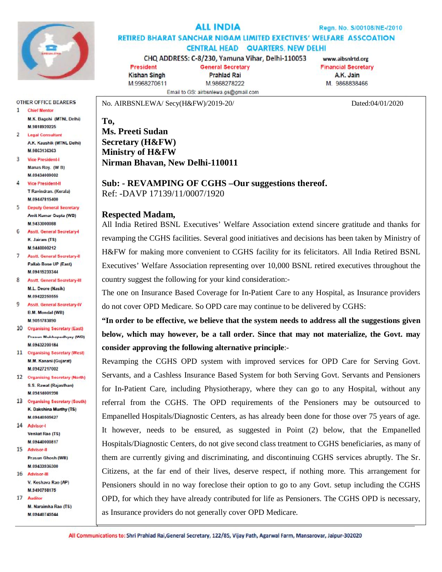

# **ALL INDIA**

Regn. No. S/00108/NE-/2010

**RETIRED BHARAT SANCHAR NIGAM LIMITED EXECTIVES' WELFARE ASSCOATION CENTRAL HEAD QUARTERS, NEW DELHI** 

CHQ ADDRESS: C-8/230, Yamuna Vihar, Delhi-110053

Email to GS: airbsnlewa.gs@gmail.com

**President General Secretary Kishan Singh Prahlad Rai** M.9968270611 M.9868278222

www.aibsnlrtd.org **Financial Secretary** A.K. Jain M. 9868838466

No. AIRBSNLEWA/ Secy(H&FW)/2019-20/ Dated:04/01/2020

OTHER OFFICE BEARERS  $\mathbf{1}$ **Chief Mentor** M.K. Bagchi (MTNL Delhi) **M 9818920225** 

 $\overline{2}$ **Legal Consultant** A.K. Kaushik (MTNL Delhi) M.9863136363

**3** Vice President-I Manas Roy. (W B) M.09434009002

4 **Vice President-II** T Ravindran, (Kerala) M.09447815400

5 Deputy General Secretary Amit Kumar Gupta (WB) M.9433000088

6 Asstt. General Secretary-K. Jairam (TS) M.9440000212

7 **Asstt. General Secretary-II Pallab Bose UP (East)** M.09415233344

8 Asstt. General Secretary-III **M.L. Deore (Nasik)** M.09422250555

- 9 **Asstt. General Secretary-IV B.M. Mondal (WB)** M.9051783890
- 10 Organising Secretary (East) Prasun Mukhopadhyay (WB) M.09432200184
- 11 Organising Secretary (West) M.M. Kanani (Guiarat) M 09427217002
- 12 Organising Secretary (North) S.S. Rawat (Rajasthan) M.09414001998
- 13 Organising Secretary (South) K. Dakshina Murthy (TS) **M 09440505627**
- 14 Advisor-I Venkat Rao (TS)
- M 09440000817 15 Advisor-II Prasun Ghosh (WB)

M 09433936300 16 Advisor-III V. Keshava Rao (AP) M.9490758175

17 Auditor M. Naraimha Rao (TS) M.09440745544

**To, Ms. Preeti Sudan Secretary (H&FW) Ministry of H&FW Nirman Bhavan, New Delhi-110011**

**Sub: - REVAMPING OF CGHS –Our suggestions thereof.** Ref: -DAVP 17139/11/0007/1920

## **Respected Madam,**

All India Retired BSNL Executives' Welfare Association extend sincere gratitude and thanks for revamping the CGHS facilities. Several good initiatives and decisions has been taken by Ministry of H&FW for making more convenient to CGHS facility for its felicitators. All India Retired BSNL Executives' Welfare Association representing over 10,000 BSNL retired executives throughout the country suggest the following for your kind consideration:-

The one on Insurance Based Coverage for In-Patient Care to any Hospital, as Insurance providers do not cover OPD Medicare. So OPD care may continue to be delivered by CGHS:

**"In order to be effective, we believe that the system needs to address all the suggestions given below, which may however, be a tall order. Since that may not materialize, the Govt. may consider approving the following alternative principle**:-

Revamping the CGHS OPD system with improved services for OPD Care for Serving Govt. Servants, and a Cashless Insurance Based System for both Serving Govt. Servants and Pensioners for In-Patient Care, including Physiotherapy, where they can go to any Hospital, without any referral from the CGHS. The OPD requirements of the Pensioners may be outsourced to Empanelled Hospitals/Diagnostic Centers, as has already been done for those over 75 years of age. It however, needs to be ensured, as suggested in Point (2) below, that the Empanelled Hospitals/Diagnostic Centers, do not give second class treatment to CGHS beneficiaries, as many of them are currently giving and discriminating, and discontinuing CGHS services abruptly. The Sr. Citizens, at the far end of their lives, deserve respect, if nothing more. This arrangement for Pensioners should in no way foreclose their option to go to any Govt. setup including the CGHS OPD, for which they have already contributed for life as Pensioners. The CGHS OPD is necessary, as Insurance providers do not generally cover OPD Medicare.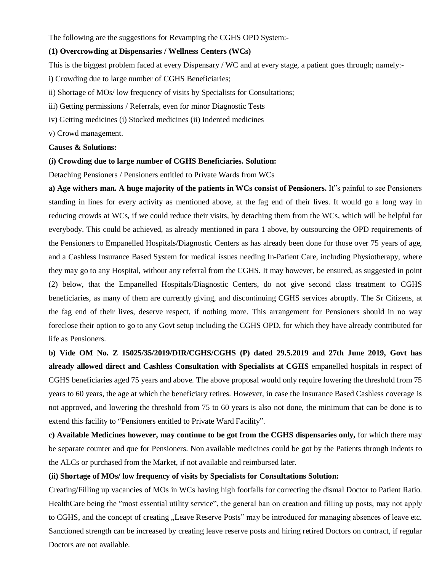The following are the suggestions for Revamping the CGHS OPD System:-

#### **(1) Overcrowding at Dispensaries / Wellness Centers (WCs)**

This is the biggest problem faced at every Dispensary / WC and at every stage, a patient goes through; namely:-

i) Crowding due to large number of CGHS Beneficiaries;

- ii) Shortage of MOs/ low frequency of visits by Specialists for Consultations;
- iii) Getting permissions / Referrals, even for minor Diagnostic Tests
- iv) Getting medicines (i) Stocked medicines (ii) Indented medicines
- v) Crowd management.

### **Causes & Solutions:**

#### **(i) Crowding due to large number of CGHS Beneficiaries. Solution:**

Detaching Pensioners / Pensioners entitled to Private Wards from WCs

**a) Age withers man. A huge majority of the patients in WCs consist of Pensioners.** It"s painful to see Pensioners standing in lines for every activity as mentioned above, at the fag end of their lives. It would go a long way in reducing crowds at WCs, if we could reduce their visits, by detaching them from the WCs, which will be helpful for everybody. This could be achieved, as already mentioned in para 1 above, by outsourcing the OPD requirements of the Pensioners to Empanelled Hospitals/Diagnostic Centers as has already been done for those over 75 years of age, and a Cashless Insurance Based System for medical issues needing In-Patient Care, including Physiotherapy, where they may go to any Hospital, without any referral from the CGHS. It may however, be ensured, as suggested in point (2) below, that the Empanelled Hospitals/Diagnostic Centers, do not give second class treatment to CGHS beneficiaries, as many of them are currently giving, and discontinuing CGHS services abruptly. The Sr Citizens, at the fag end of their lives, deserve respect, if nothing more. This arrangement for Pensioners should in no way foreclose their option to go to any Govt setup including the CGHS OPD, for which they have already contributed for life as Pensioners.

**b) Vide OM No. Z 15025/35/2019/DIR/CGHS/CGHS (P) dated 29.5.2019 and 27th June 2019, Govt has already allowed direct and Cashless Consultation with Specialists at CGHS** empanelled hospitals in respect of CGHS beneficiaries aged 75 years and above. The above proposal would only require lowering the threshold from 75 years to 60 years, the age at which the beneficiary retires. However, in case the Insurance Based Cashless coverage is not approved, and lowering the threshold from 75 to 60 years is also not done, the minimum that can be done is to extend this facility to "Pensioners entitled to Private Ward Facility".

**c) Available Medicines however, may continue to be got from the CGHS dispensaries only,** for which there may be separate counter and que for Pensioners. Non available medicines could be got by the Patients through indents to the ALCs or purchased from the Market, if not available and reimbursed later.

### **(ii) Shortage of MOs/ low frequency of visits by Specialists for Consultations Solution:**

Creating/Filling up vacancies of MOs in WCs having high footfalls for correcting the dismal Doctor to Patient Ratio. HealthCare being the "most essential utility service", the general ban on creation and filling up posts, may not apply to CGHS, and the concept of creating "Leave Reserve Posts" may be introduced for managing absences of leave etc. Sanctioned strength can be increased by creating leave reserve posts and hiring retired Doctors on contract, if regular Doctors are not available.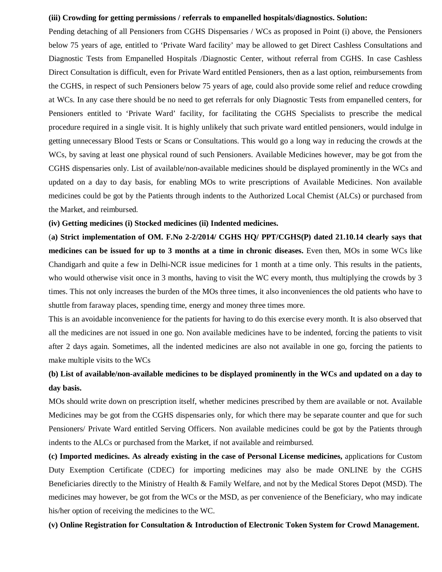#### **(iii) Crowding for getting permissions / referrals to empanelled hospitals/diagnostics. Solution:**

Pending detaching of all Pensioners from CGHS Dispensaries / WCs as proposed in Point (i) above, the Pensioners below 75 years of age, entitled to 'Private Ward facility' may be allowed to get Direct Cashless Consultations and Diagnostic Tests from Empanelled Hospitals /Diagnostic Center, without referral from CGHS. In case Cashless Direct Consultation is difficult, even for Private Ward entitled Pensioners, then as a last option, reimbursements from the CGHS, in respect of such Pensioners below 75 years of age, could also provide some relief and reduce crowding at WCs. In any case there should be no need to get referrals for only Diagnostic Tests from empanelled centers, for Pensioners entitled to 'Private Ward' facility, for facilitating the CGHS Specialists to prescribe the medical procedure required in a single visit. It is highly unlikely that such private ward entitled pensioners, would indulge in getting unnecessary Blood Tests or Scans or Consultations. This would go a long way in reducing the crowds at the WCs, by saving at least one physical round of such Pensioners. Available Medicines however, may be got from the CGHS dispensaries only. List of available/non-available medicines should be displayed prominently in the WCs and updated on a day to day basis, for enabling MOs to write prescriptions of Available Medicines. Non available medicines could be got by the Patients through indents to the Authorized Local Chemist (ALCs) or purchased from the Market, and reimbursed.

#### **(iv) Getting medicines (i) Stocked medicines (ii) Indented medicines.**

(**a) Strict implementation of OM. F.No 2-2/2014/ CGHS HQ/ PPT/CGHS(P) dated 21.10.14 clearly says that medicines can be issued for up to 3 months at a time in chronic diseases.** Even then, MOs in some WCs like Chandigarh and quite a few in Delhi-NCR issue medicines for 1 month at a time only. This results in the patients, who would otherwise visit once in 3 months, having to visit the WC every month, thus multiplying the crowds by 3 times. This not only increases the burden of the MOs three times, it also inconveniences the old patients who have to shuttle from faraway places, spending time, energy and money three times more.

This is an avoidable inconvenience for the patients for having to do this exercise every month. It is also observed that all the medicines are not issued in one go. Non available medicines have to be indented, forcing the patients to visit after 2 days again. Sometimes, all the indented medicines are also not available in one go, forcing the patients to make multiple visits to the WCs

## **(b) List of available/non-available medicines to be displayed prominently in the WCs and updated on a day to day basis.**

MOs should write down on prescription itself, whether medicines prescribed by them are available or not. Available Medicines may be got from the CGHS dispensaries only, for which there may be separate counter and que for such Pensioners/ Private Ward entitled Serving Officers. Non available medicines could be got by the Patients through indents to the ALCs or purchased from the Market, if not available and reimbursed.

**(c) Imported medicines. As already existing in the case of Personal License medicines,** applications for Custom Duty Exemption Certificate (CDEC) for importing medicines may also be made ONLINE by the CGHS Beneficiaries directly to the Ministry of Health & Family Welfare, and not by the Medical Stores Depot (MSD). The medicines may however, be got from the WCs or the MSD, as per convenience of the Beneficiary, who may indicate his/her option of receiving the medicines to the WC.

#### **(v) Online Registration for Consultation & Introduction of Electronic Token System for Crowd Management.**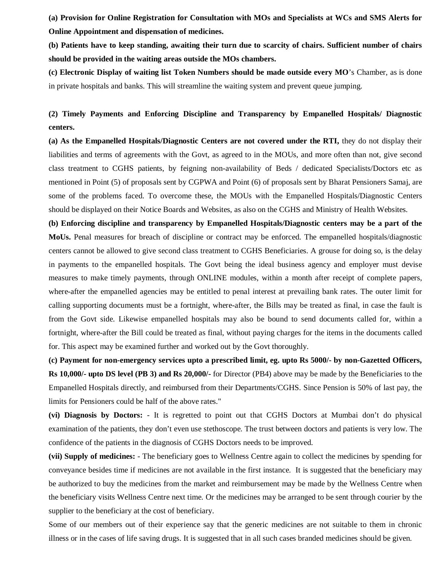**(a) Provision for Online Registration for Consultation with MOs and Specialists at WCs and SMS Alerts for Online Appointment and dispensation of medicines.** 

**(b) Patients have to keep standing, awaiting their turn due to scarcity of chairs. Sufficient number of chairs should be provided in the waiting areas outside the MOs chambers.** 

**(c) Electronic Display of waiting list Token Numbers should be made outside every MO**'s Chamber, as is done in private hospitals and banks. This will streamline the waiting system and prevent queue jumping.

## **(2) Timely Payments and Enforcing Discipline and Transparency by Empanelled Hospitals/ Diagnostic centers.**

**(a) As the Empanelled Hospitals/Diagnostic Centers are not covered under the RTI,** they do not display their liabilities and terms of agreements with the Govt, as agreed to in the MOUs, and more often than not, give second class treatment to CGHS patients, by feigning non-availability of Beds / dedicated Specialists/Doctors etc as mentioned in Point (5) of proposals sent by CGPWA and Point (6) of proposals sent by Bharat Pensioners Samaj, are some of the problems faced. To overcome these, the MOUs with the Empanelled Hospitals/Diagnostic Centers should be displayed on their Notice Boards and Websites, as also on the CGHS and Ministry of Health Websites.

**(b) Enforcing discipline and transparency by Empanelled Hospitals/Diagnostic centers may be a part of the MoUs.** Penal measures for breach of discipline or contract may be enforced. The empanelled hospitals/diagnostic centers cannot be allowed to give second class treatment to CGHS Beneficiaries. A grouse for doing so, is the delay in payments to the empanelled hospitals. The Govt being the ideal business agency and employer must devise measures to make timely payments, through ONLINE modules, within a month after receipt of complete papers, where-after the empanelled agencies may be entitled to penal interest at prevailing bank rates. The outer limit for calling supporting documents must be a fortnight, where-after, the Bills may be treated as final, in case the fault is from the Govt side. Likewise empanelled hospitals may also be bound to send documents called for, within a fortnight, where-after the Bill could be treated as final, without paying charges for the items in the documents called for. This aspect may be examined further and worked out by the Govt thoroughly.

**(c) Payment for non-emergency services upto a prescribed limit, eg. upto Rs 5000/- by non-Gazetted Officers, Rs 10,000/- upto DS level (PB 3) and Rs 20,000/-** for Director (PB4) above may be made by the Beneficiaries to the Empanelled Hospitals directly, and reimbursed from their Departments/CGHS. Since Pension is 50% of last pay, the limits for Pensioners could be half of the above rates."

**(vi) Diagnosis by Doctors:** - It is regretted to point out that CGHS Doctors at Mumbai don't do physical examination of the patients, they don't even use stethoscope. The trust between doctors and patients is very low. The confidence of the patients in the diagnosis of CGHS Doctors needs to be improved.

**(vii) Supply of medicines:** - The beneficiary goes to Wellness Centre again to collect the medicines by spending for conveyance besides time if medicines are not available in the first instance. It is suggested that the beneficiary may be authorized to buy the medicines from the market and reimbursement may be made by the Wellness Centre when the beneficiary visits Wellness Centre next time. Or the medicines may be arranged to be sent through courier by the supplier to the beneficiary at the cost of beneficiary.

Some of our members out of their experience say that the generic medicines are not suitable to them in chronic illness or in the cases of life saving drugs. It is suggested that in all such cases branded medicines should be given.